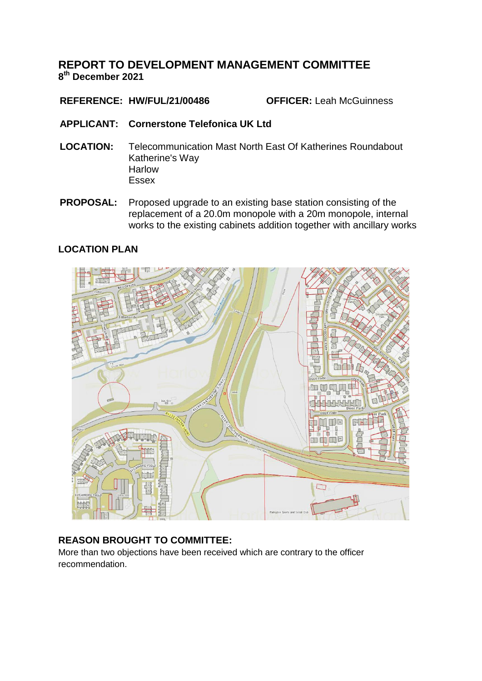## **REPORT TO DEVELOPMENT MANAGEMENT COMMITTEE 8 th December 2021**

## **REFERENCE: HW/FUL/21/00486 OFFICER:** Leah McGuinness

- **APPLICANT: Cornerstone Telefonica UK Ltd**
- **LOCATION:** Telecommunication Mast North East Of Katherines Roundabout Katherine's Way Harlow Essex
- **PROPOSAL:** Proposed upgrade to an existing base station consisting of the replacement of a 20.0m monopole with a 20m monopole, internal works to the existing cabinets addition together with ancillary works

### **LOCATION PLAN**



## **REASON BROUGHT TO COMMITTEE:**

More than two objections have been received which are contrary to the officer recommendation.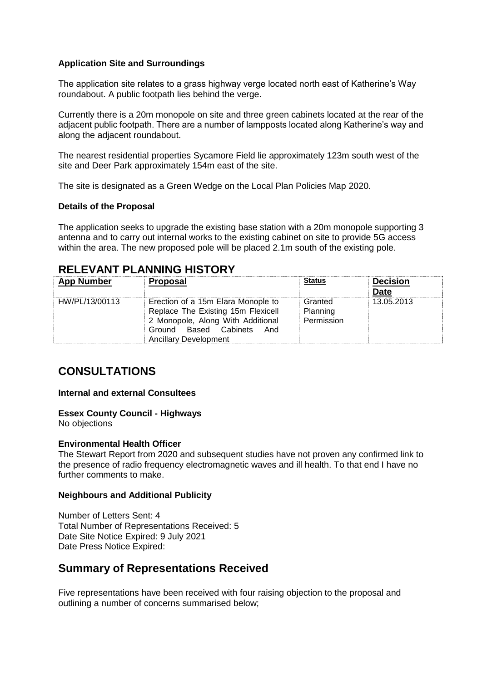### **Application Site and Surroundings**

The application site relates to a grass highway verge located north east of Katherine's Way roundabout. A public footpath lies behind the verge.

Currently there is a 20m monopole on site and three green cabinets located at the rear of the adjacent public footpath. There are a number of lampposts located along Katherine's way and along the adjacent roundabout.

The nearest residential properties Sycamore Field lie approximately 123m south west of the site and Deer Park approximately 154m east of the site.

The site is designated as a Green Wedge on the Local Plan Policies Map 2020.

### **Details of the Proposal**

The application seeks to upgrade the existing base station with a 20m monopole supporting 3 antenna and to carry out internal works to the existing cabinet on site to provide 5G access within the area. The new proposed pole will be placed 2.1m south of the existing pole.

## **RELEVANT PLANNING HISTORY**

| <b>App Number</b> | <b>Proposal</b>                                                                                                                                                            | <b>Status</b>                     | <b>Decision</b><br><b>Date</b> |
|-------------------|----------------------------------------------------------------------------------------------------------------------------------------------------------------------------|-----------------------------------|--------------------------------|
| HW/PL/13/00113    | Erection of a 15m Elara Monople to<br>Replace The Existing 15m Flexicell<br>2 Monopole, Along With Additional<br>Ground Based Cabinets And<br><b>Ancillary Development</b> | Granted<br>Planning<br>Permission | 13.05.2013                     |

# **CONSULTATIONS**

### **Internal and external Consultees**

### **Essex County Council - Highways**

No objections

#### **Environmental Health Officer**

The Stewart Report from 2020 and subsequent studies have not proven any confirmed link to the presence of radio frequency electromagnetic waves and ill health. To that end I have no further comments to make.

#### **Neighbours and Additional Publicity**

Number of Letters Sent: 4 Total Number of Representations Received: 5 Date Site Notice Expired: 9 July 2021 Date Press Notice Expired:

## **Summary of Representations Received**

Five representations have been received with four raising objection to the proposal and outlining a number of concerns summarised below;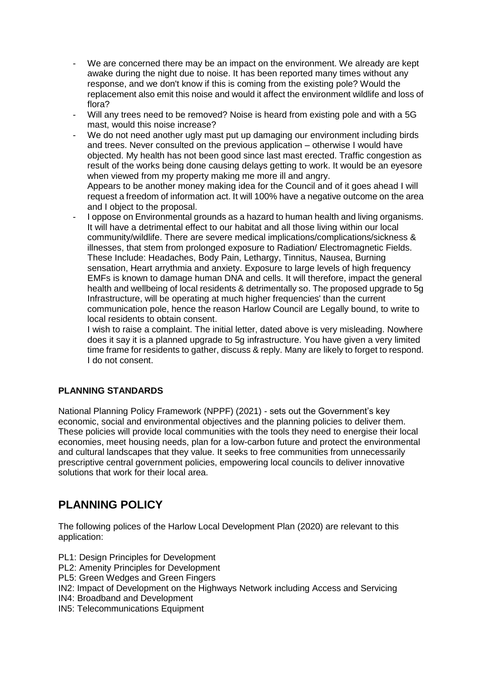- We are concerned there may be an impact on the environment. We already are kept awake during the night due to noise. It has been reported many times without any response, and we don't know if this is coming from the existing pole? Would the replacement also emit this noise and would it affect the environment wildlife and loss of flora?
- Will any trees need to be removed? Noise is heard from existing pole and with a 5G mast, would this noise increase?
- We do not need another ugly mast put up damaging our environment including birds and trees. Never consulted on the previous application – otherwise I would have objected. My health has not been good since last mast erected. Traffic congestion as result of the works being done causing delays getting to work. It would be an eyesore when viewed from my property making me more ill and angry. Appears to be another money making idea for the Council and of it goes ahead I will request a freedom of information act. It will 100% have a negative outcome on the area
- and I object to the proposal. - I oppose on Environmental grounds as a hazard to human health and living organisms. It will have a detrimental effect to our habitat and all those living within our local community/wildlife. There are severe medical implications/complications/sickness & illnesses, that stem from prolonged exposure to Radiation/ Electromagnetic Fields. These Include: Headaches, Body Pain, Lethargy, Tinnitus, Nausea, Burning sensation, Heart arrythmia and anxiety. Exposure to large levels of high frequency EMFs is known to damage human DNA and cells. It will therefore, impact the general health and wellbeing of local residents & detrimentally so. The proposed upgrade to 5g Infrastructure, will be operating at much higher frequencies' than the current communication pole, hence the reason Harlow Council are Legally bound, to write to local residents to obtain consent.

I wish to raise a complaint. The initial letter, dated above is very misleading. Nowhere does it say it is a planned upgrade to 5g infrastructure. You have given a very limited time frame for residents to gather, discuss & reply. Many are likely to forget to respond. I do not consent.

### **PLANNING STANDARDS**

National Planning Policy Framework (NPPF) (2021) - sets out the Government's key economic, social and environmental objectives and the planning policies to deliver them. These policies will provide local communities with the tools they need to energise their local economies, meet housing needs, plan for a low-carbon future and protect the environmental and cultural landscapes that they value. It seeks to free communities from unnecessarily prescriptive central government policies, empowering local councils to deliver innovative solutions that work for their local area.

# **PLANNING POLICY**

The following polices of the Harlow Local Development Plan (2020) are relevant to this application:

- PL1: Design Principles for Development
- PL2: Amenity Principles for Development
- PL5: Green Wedges and Green Fingers
- IN2: Impact of Development on the Highways Network including Access and Servicing
- IN4: Broadband and Development
- IN5: Telecommunications Equipment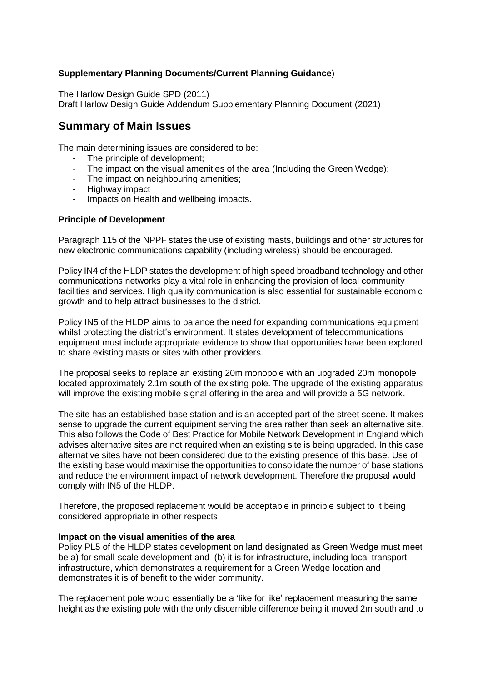### **Supplementary Planning Documents/Current Planning Guidance**)

The Harlow Design Guide SPD (2011)

Draft Harlow Design Guide Addendum Supplementary Planning Document (2021)

## **Summary of Main Issues**

The main determining issues are considered to be:

- The principle of development;
- The impact on the visual amenities of the area (Including the Green Wedge);
- The impact on neighbouring amenities;
- Highway impact
- Impacts on Health and wellbeing impacts.

### **Principle of Development**

Paragraph 115 of the NPPF states the use of existing masts, buildings and other structures for new electronic communications capability (including wireless) should be encouraged.

Policy IN4 of the HLDP states the development of high speed broadband technology and other communications networks play a vital role in enhancing the provision of local community facilities and services. High quality communication is also essential for sustainable economic growth and to help attract businesses to the district.

Policy IN5 of the HLDP aims to balance the need for expanding communications equipment whilst protecting the district's environment. It states development of telecommunications equipment must include appropriate evidence to show that opportunities have been explored to share existing masts or sites with other providers.

The proposal seeks to replace an existing 20m monopole with an upgraded 20m monopole located approximately 2.1m south of the existing pole. The upgrade of the existing apparatus will improve the existing mobile signal offering in the area and will provide a 5G network.

The site has an established base station and is an accepted part of the street scene. It makes sense to upgrade the current equipment serving the area rather than seek an alternative site. This also follows the Code of Best Practice for Mobile Network Development in England which advises alternative sites are not required when an existing site is being upgraded. In this case alternative sites have not been considered due to the existing presence of this base. Use of the existing base would maximise the opportunities to consolidate the number of base stations and reduce the environment impact of network development. Therefore the proposal would comply with IN5 of the HLDP.

Therefore, the proposed replacement would be acceptable in principle subject to it being considered appropriate in other respects

### **Impact on the visual amenities of the area**

Policy PL5 of the HLDP states development on land designated as Green Wedge must meet be a) for small-scale development and (b) it is for infrastructure, including local transport infrastructure, which demonstrates a requirement for a Green Wedge location and demonstrates it is of benefit to the wider community.

The replacement pole would essentially be a 'like for like' replacement measuring the same height as the existing pole with the only discernible difference being it moved 2m south and to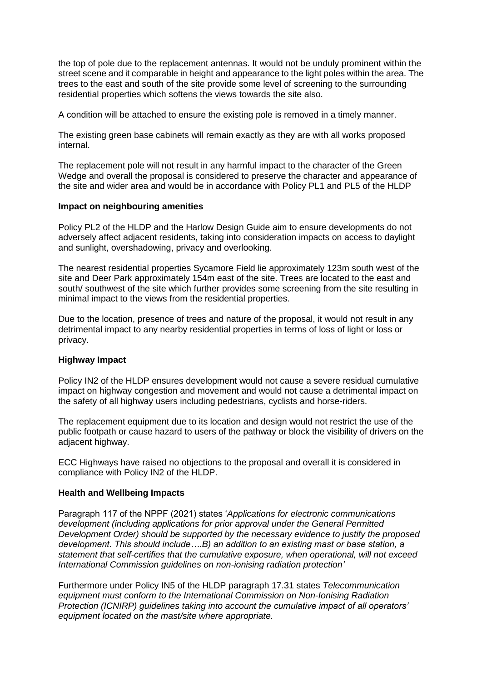the top of pole due to the replacement antennas. It would not be unduly prominent within the street scene and it comparable in height and appearance to the light poles within the area. The trees to the east and south of the site provide some level of screening to the surrounding residential properties which softens the views towards the site also.

A condition will be attached to ensure the existing pole is removed in a timely manner.

The existing green base cabinets will remain exactly as they are with all works proposed internal.

The replacement pole will not result in any harmful impact to the character of the Green Wedge and overall the proposal is considered to preserve the character and appearance of the site and wider area and would be in accordance with Policy PL1 and PL5 of the HLDP

### **Impact on neighbouring amenities**

Policy PL2 of the HLDP and the Harlow Design Guide aim to ensure developments do not adversely affect adjacent residents, taking into consideration impacts on access to daylight and sunlight, overshadowing, privacy and overlooking.

The nearest residential properties Sycamore Field lie approximately 123m south west of the site and Deer Park approximately 154m east of the site. Trees are located to the east and south/ southwest of the site which further provides some screening from the site resulting in minimal impact to the views from the residential properties.

Due to the location, presence of trees and nature of the proposal, it would not result in any detrimental impact to any nearby residential properties in terms of loss of light or loss or privacy.

### **Highway Impact**

Policy IN2 of the HLDP ensures development would not cause a severe residual cumulative impact on highway congestion and movement and would not cause a detrimental impact on the safety of all highway users including pedestrians, cyclists and horse-riders.

The replacement equipment due to its location and design would not restrict the use of the public footpath or cause hazard to users of the pathway or block the visibility of drivers on the adjacent highway.

ECC Highways have raised no objections to the proposal and overall it is considered in compliance with Policy IN2 of the HLDP.

### **Health and Wellbeing Impacts**

Paragraph 117 of the NPPF (2021) states '*Applications for electronic communications development (including applications for prior approval under the General Permitted Development Order) should be supported by the necessary evidence to justify the proposed development. This should include….B) an addition to an existing mast or base station, a statement that self-certifies that the cumulative exposure, when operational, will not exceed International Commission guidelines on non-ionising radiation protection'*

Furthermore under Policy IN5 of the HLDP paragraph 17.31 states *Telecommunication equipment must conform to the International Commission on Non-Ionising Radiation Protection (ICNIRP) guidelines taking into account the cumulative impact of all operators' equipment located on the mast/site where appropriate.*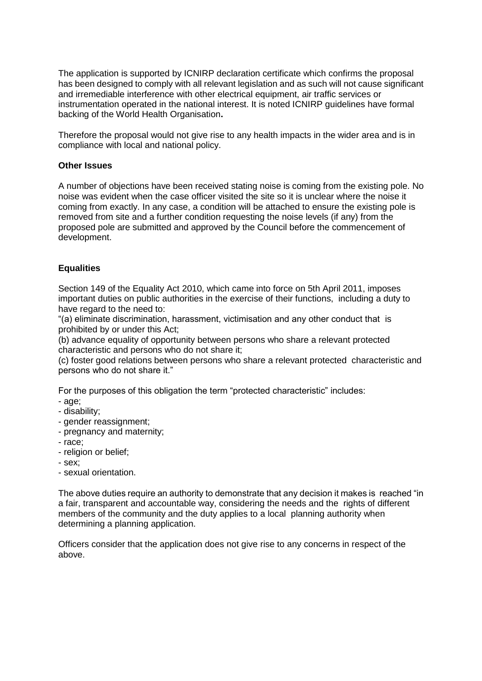The application is supported by ICNIRP declaration certificate which confirms the proposal has been designed to comply with all relevant legislation and as such will not cause significant and irremediable interference with other electrical equipment, air traffic services or instrumentation operated in the national interest. It is noted ICNIRP guidelines have formal backing of the World Health Organisation**.**

Therefore the proposal would not give rise to any health impacts in the wider area and is in compliance with local and national policy.

### **Other Issues**

A number of objections have been received stating noise is coming from the existing pole. No noise was evident when the case officer visited the site so it is unclear where the noise it coming from exactly. In any case, a condition will be attached to ensure the existing pole is removed from site and a further condition requesting the noise levels (if any) from the proposed pole are submitted and approved by the Council before the commencement of development.

## **Equalities**

Section 149 of the Equality Act 2010, which came into force on 5th April 2011, imposes important duties on public authorities in the exercise of their functions, including a duty to have regard to the need to:

"(a) eliminate discrimination, harassment, victimisation and any other conduct that is prohibited by or under this Act;

(b) advance equality of opportunity between persons who share a relevant protected characteristic and persons who do not share it;

(c) foster good relations between persons who share a relevant protected characteristic and persons who do not share it."

For the purposes of this obligation the term "protected characteristic" includes:

- age;
- disability;
- gender reassignment;
- pregnancy and maternity;
- race;
- religion or belief;
- sex;
- sexual orientation.

The above duties require an authority to demonstrate that any decision it makes is reached "in a fair, transparent and accountable way, considering the needs and the rights of different members of the community and the duty applies to a local planning authority when determining a planning application.

Officers consider that the application does not give rise to any concerns in respect of the above.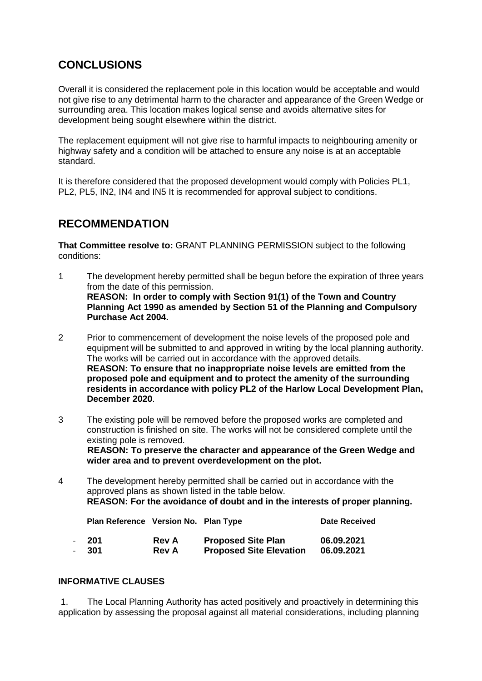# **CONCLUSIONS**

Overall it is considered the replacement pole in this location would be acceptable and would not give rise to any detrimental harm to the character and appearance of the Green Wedge or surrounding area. This location makes logical sense and avoids alternative sites for development being sought elsewhere within the district.

The replacement equipment will not give rise to harmful impacts to neighbouring amenity or highway safety and a condition will be attached to ensure any noise is at an acceptable standard.

It is therefore considered that the proposed development would comply with Policies PL1, PL2, PL5, IN2, IN4 and IN5 It is recommended for approval subject to conditions.

# **RECOMMENDATION**

**That Committee resolve to:** GRANT PLANNING PERMISSION subject to the following conditions:

- 1 The development hereby permitted shall be begun before the expiration of three years from the date of this permission. **REASON: In order to comply with Section 91(1) of the Town and Country Planning Act 1990 as amended by Section 51 of the Planning and Compulsory Purchase Act 2004.**
- 2 Prior to commencement of development the noise levels of the proposed pole and equipment will be submitted to and approved in writing by the local planning authority. The works will be carried out in accordance with the approved details. **REASON: To ensure that no inappropriate noise levels are emitted from the proposed pole and equipment and to protect the amenity of the surrounding residents in accordance with policy PL2 of the Harlow Local Development Plan, December 2020**.
- 3 The existing pole will be removed before the proposed works are completed and construction is finished on site. The works will not be considered complete until the existing pole is removed. **REASON: To preserve the character and appearance of the Green Wedge and wider area and to prevent overdevelopment on the plot.**

4 The development hereby permitted shall be carried out in accordance with the approved plans as shown listed in the table below. **REASON: For the avoidance of doubt and in the interests of proper planning.**

| Plan Reference Version No. Plan Type |              |                                | <b>Date Received</b> |
|--------------------------------------|--------------|--------------------------------|----------------------|
| - 201                                | <b>Rev A</b> | <b>Proposed Site Plan</b>      | 06.09.2021           |
| - 301                                | <b>Rev A</b> | <b>Proposed Site Elevation</b> | 06.09.2021           |

### **INFORMATIVE CLAUSES**

1. The Local Planning Authority has acted positively and proactively in determining this application by assessing the proposal against all material considerations, including planning